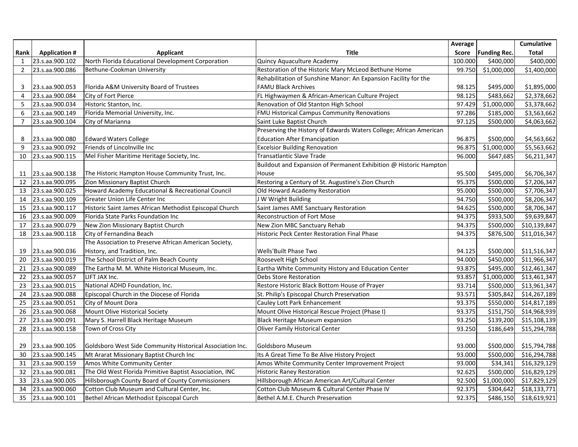|                |                      |                                                           |                                                                    | Average |                         | Cumulative   |
|----------------|----------------------|-----------------------------------------------------------|--------------------------------------------------------------------|---------|-------------------------|--------------|
| Rank           | <b>Application #</b> | <b>Applicant</b>                                          | <b>Title</b>                                                       | Score   | <b>Funding Rec.</b>     | <b>Total</b> |
| $\mathbf{1}$   | 23.s.aa.900.102      | North Florida Educational Development Corporation         | Quincy Aquaculture Academy                                         | 100.000 | \$400,000               | \$400,000    |
| $\overline{2}$ | 23.s.aa.900.086      | Bethune-Cookman University                                | Restoration of the Historic Mary McLeod Bethune Home               | 99.750  | \$1,000,000             | \$1,400,000  |
|                |                      |                                                           | Rehabilitation of Sunshine Manor: An Expansion Facility for the    |         |                         |              |
| 3              | 23.s.aa.900.053      | Florida A&M University Board of Trustees                  | <b>FAMU Black Archives</b>                                         | 98.125  | \$495,000               | \$1,895,000  |
| 4              | 23.s.aa.900.084      | City of Fort Pierce                                       | FL Highwaymen & African-American Culture Project                   | 98.125  | \$483,662               | \$2,378,662  |
| 5              | 23.s.aa.900.034      | Historic Stanton, Inc.                                    | Renovation of Old Stanton High School                              | 97.429  | \$1,000,000             | \$3,378,662  |
| 6              | 23.s.aa.900.149      | Florida Memorial University, Inc.                         | <b>FMU Historical Campus Community Renovations</b>                 | 97.286  | \$185,000               | \$3,563,662  |
| $\overline{7}$ | 23.s.aa.900.104      | City of Marianna                                          | Saint Luke Baptist Church                                          | 97.125  | \$500,000               | \$4,063,662  |
|                |                      |                                                           | Preserving the History of Edwards Waters College; African American |         |                         |              |
| 8              | 23.s.aa.900.080      | <b>Edward Waters College</b>                              | <b>Education After Emancipation</b>                                | 96.875  | \$500,000               | \$4,563,662  |
| 9              | 23.s.aa.900.092      | Friends of Lincolnville Inc                               | <b>Excelsior Building Renovation</b>                               | 96.875  | \$1,000,000             | \$5,563,662  |
| 10             | 23.s.aa.900.115      | Mel Fisher Maritime Heritage Society, Inc.                | <b>Transatlantic Slave Trade</b>                                   | 96.000  | \$647,685               | \$6,211,347  |
|                |                      |                                                           | Buildout and Expansion of Permanent Exhibition @ Historic Hampton  |         |                         |              |
| 11             | 23.s.aa.900.138      | The Historic Hampton House Community Trust, Inc.          | House                                                              | 95.500  | \$495,000               | \$6,706,347  |
| 12             | 23.s.aa.900.095      | Zion Missionary Baptist Church                            | Restoring a Century of St. Augustine's Zion Church                 | 95.375  | \$500,000               | \$7,206,347  |
| 13             | 23.s.aa.900.025      | Howard Academy Educational & Recreational Council         | Old Howard Academy Restoration                                     | 95.000  | \$500,000               | \$7,706,347  |
| 14             | 23.s.aa.900.109      | Greater Union Life Center Inc                             | J W Wright Building                                                | 94.750  | \$500,000               | \$8,206,347  |
| 15             | 23.s.aa.900.117      | Historic Saint James African Methodist Episcopal Church   | Saint James AME Sanctuary Restoration                              | 94.625  | \$500,000               | \$8,706,347  |
| 16             | 23.s.aa.900.009      | Florida State Parks Foundation Inc                        | <b>Reconstruction of Fort Mose</b>                                 | 94.375  | \$933,500               | \$9,639,847  |
| 17             | 23.s.aa.900.079      | New Zion Missionary Baptist Church                        | New Zion MBC Sanctuary Rehab                                       | 94.375  | \$500,000               | \$10,139,847 |
| 18             | 23.s.aa.900.118      | City of Fernandina Beach                                  | Historic Peck Center Restoration Final Phase                       | 94.375  | \$876,500               | \$11,016,347 |
|                |                      | The Association to Preserve African American Society,     |                                                                    |         |                         |              |
| 19             | 23.s.aa.900.036      | History, and Tradition, Inc.                              | Wells'Built Phase Two                                              | 94.125  | \$500,000               | \$11,516,347 |
| 20             | 23.s.aa.900.019      | The School District of Palm Beach County                  | Roosevelt High School                                              | 94.000  | $\overline{$}450,000$   | \$11,966,347 |
| 21             | 23.s.aa.900.089      | The Eartha M. M. White Historical Museum, Inc.            | Eartha White Community History and Education Center                | 93.875  | \$495,000               | \$12,461,347 |
| 22             | 23.s.aa.900.057      | LIFT JAX Inc.                                             | Debs Store Restoration                                             | 93.857  | $\overline{$}1,000,000$ | \$13,461,347 |
| 23             | 23.s.aa.900.015      | National ADHD Foundation, Inc.                            | Restore Historic Black Bottom House of Prayer                      | 93.714  | \$500,000               | \$13,961,347 |
| 24             | 23.s.aa.900.088      | Episcopal Church in the Diocese of Florida                | St. Philip's Episcopal Church Preservation                         | 93.571  | \$305,842               | \$14,267,189 |
| 25             | 23.s.aa.900.051      | City of Mount Dora                                        | Cauley Lott Park Enhancement                                       | 93.375  | \$550,000               | \$14,817,189 |
| 26             | 23.s.aa.900.068      | Mount Olive Historical Society                            | Mount Olive Historical Rescue Project (Phase I)                    | 93.375  | \$151,750               | \$14,968,939 |
| 27             | 23.s.aa.900.091      | Mary S. Harrell Black Heritage Museum                     | Black Heritage Museum expansion                                    | 93.250  | \$139,200               | \$15,108,139 |
| 28             | 23.s.aa.900.158      | Town of Cross City                                        | Oliver Family Historical Center                                    | 93.250  | \$186,649               | \$15,294,788 |
|                |                      |                                                           |                                                                    |         |                         |              |
| 29             | 23.s.aa.900.105      | Goldsboro West Side Community Historical Association Inc. | Goldsboro Museum                                                   | 93.000  | \$500,000               | \$15,794,788 |
| 30             | 23.s.aa.900.145      | Mt Ararat Missionary Baptist Church Inc                   | Its A Great Time To Be Alive History Project                       | 93.000  | \$500,000               | \$16,294,788 |
| 31             | 23.s.aa.900.159      | Amos White Community Center                               | Amos White Community Center Improvement Project                    | 93.000  | \$34,341                | \$16,329,129 |
| 32             | 23.s.aa.900.081      | The Old West Florida Primitive Baptist Association, INC   | Historic Raney Restoration                                         | 92.625  | \$500,000               | \$16,829,129 |
| 33             | 23.s.aa.900.005      | Hillsborough County Board of County Commissioners         | Hillsborough African American Art/Cultural Center                  | 92.500  | \$1,000,000             | \$17,829,129 |
| 34             | 23.s.aa.900.060      | Cotton Club Museum and Cultural Center, Inc.              | Cotton Club Museum & Cultural Center Phase IV                      | 92.375  | \$304,642               | \$18,133,771 |
| 35             | 23.s.aa.900.101      | Bethel African Methodist Episcopal Curch                  | Bethel A.M.E. Church Preservation                                  | 92.375  | \$486,150               | \$18,619,921 |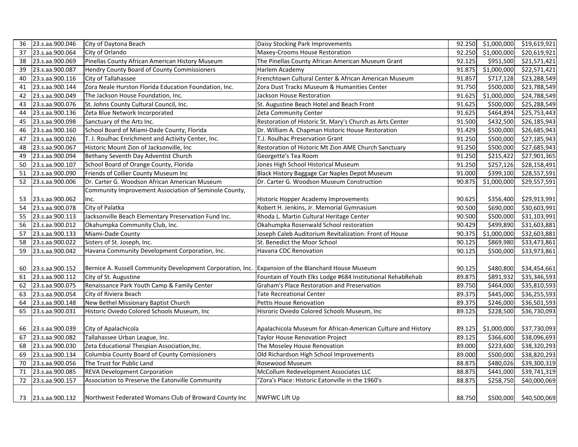| 36 | 23.s.aa.900.046    | City of Daytona Beach                                                                              | Daisy Stocking Park Improvements                             | 92.250 | \$1,000,000 | \$19,619,921 |
|----|--------------------|----------------------------------------------------------------------------------------------------|--------------------------------------------------------------|--------|-------------|--------------|
| 37 | 23.s.aa.900.064    | City of Orlando                                                                                    | Maxey-Crooms House Restoration                               | 92.250 | \$1,000,000 | \$20,619,921 |
| 38 | 23.s.aa.900.069    | Pinellas County African American History Museum                                                    | The Pinellas County African American Museum Grant            | 92.125 | \$951,500   | \$21,571,421 |
| 39 | 23.s.aa.900.087    | Hendry County Board of County Commissioners                                                        | Harlem Academy                                               | 91.875 | \$1,000,000 | \$22,571,421 |
| 40 | 23.s.aa.900.116    | City of Tallahassee                                                                                | Frenchtown Cultural Center & African American Museum         | 91.857 | \$717,128   | \$23,288,549 |
| 41 | 23.s.aa.900.144    | Zora Neale Hurston Florida Education Foundation, Inc.                                              | Zora Dust Tracks Museum & Humanities Center                  | 91.750 | \$500,000   | \$23,788,549 |
| 42 | 23.s.aa.900.049    | The Jackson House Foundation, Inc.                                                                 | Jackson House Restoration                                    | 91.625 | \$1,000,000 | \$24,788,549 |
| 43 | 23.s.aa.900.076    | St. Johns County Cultural Council, Inc.                                                            | St. Augustine Beach Hotel and Beach Front                    | 91.625 | \$500,000   | \$25,288,549 |
| 44 | 23.s.aa.900.136    | Zeta Blue Network Incorporated                                                                     | Zeta Community Center                                        | 91.625 | \$464,894   | \$25,753,443 |
| 45 | 23.s.aa.900.098    | Sanctuary of the Arts Inc.                                                                         | Restoration of Historic St. Mary's Church as Arts Center     | 91.500 | \$432,500   | \$26,185,943 |
| 46 | 23.s.aa.900.160    | School Board of Miami-Dade County, Florida                                                         | Dr. William A. Chapman Historic House Restoration            | 91.429 | \$500,000   | \$26,685,943 |
| 47 | 23.s.aa.900.026    | T. J. Roulhac Enrichment and Activity Center, Inc.                                                 | T.J. Roulhac Preservation Grant                              | 91.250 | \$500,000   | \$27,185,943 |
| 48 | 23.s.aa.900.067    | Historic Mount Zion of Jacksonville, Inc.                                                          | Restoration of Historic Mt Zion AME Church Sanctuary         | 91.250 | \$500,000   | \$27,685,943 |
| 49 | 23.s.aa.900.094    | Bethany Seventh Day Adventist Church                                                               | Georgette's Tea Room                                         | 91.250 | \$215,422   | \$27,901,365 |
| 50 | 23.s.aa.900.107    | School Board of Orange County, Florida                                                             | Jones High School Historical Museum                          | 91.250 | \$257,126   | \$28,158,491 |
| 51 | 23.s.aa.900.090    | Friends of Collier County Museum Inc                                                               | Black History Baggage Car Naples Depot Museum                | 91.000 | \$399,100   | \$28,557,591 |
| 52 | 23.s.aa.900.006    | Dr. Carter G. Woodson African American Museum                                                      | Dr. Carter G. Woodson Museum Construction                    | 90.875 | \$1,000,000 | \$29,557,591 |
|    |                    | Community Improvement Association of Seminole County,                                              |                                                              |        |             |              |
| 53 | 23.s.aa.900.062    | Inc.                                                                                               | Historic Hopper Academy Improvements                         | 90.625 | \$356,400   | \$29,913,991 |
| 54 | 23.s.aa.900.078    | City of Palatka                                                                                    | Robert H. Jenkins, Jr. Memorial Gymnasium                    | 90.500 | \$690,000   | \$30,603,991 |
| 55 | 23.s.aa.900.113    | Jacksonville Beach Elementary Preservation Fund Inc.                                               | Rhoda L. Martin Cultural Heritage Center                     | 90.500 | \$500,000   | \$31,103,991 |
| 56 | 23.s.aa.900.012    | Okahumpka Community Club, Inc.                                                                     | Okahumpka Rosenwald School restoration                       | 90.429 | \$499,890   | \$31,603,881 |
| 57 | 23.s.aa.900.133    | Miami-Dade County                                                                                  | Joseph Caleb Auditorium Revitalization: Front of House       | 90.375 | \$1,000,000 | \$32,603,881 |
| 58 | 23.s.aa.900.022    | Sisters of St. Joseph, Inc.                                                                        | St. Benedict the Moor School                                 | 90.125 | \$869,980   | \$33,473,861 |
| 59 | 23.s.aa.900.042    | Havana Community Development Corporation, Inc.                                                     | Havana CDC Renovation                                        | 90.125 | \$500,000   | \$33,973,861 |
|    |                    |                                                                                                    |                                                              |        |             |              |
| 60 | 23.s.aa.900.152    | Bernice A. Russell Community Development Corporation, Inc. Expansion of the Blanchard House Museum |                                                              | 90.125 | \$480,800   | \$34,454,661 |
| 61 | 23.s.aa.900.112    | City of St. Augustine                                                                              | Fountain of Youth Elks Lodge #684 Institutional RehabRehab   | 89.875 | \$891,932   | \$35,346,593 |
| 62 | 23.s.aa.900.075    | Renaissance Park Youth Camp & Family Center                                                        | Graham's Place Restoration and Preservation                  | 89.750 | \$464,000   | \$35,810,593 |
| 63 | 23.s.aa.900.054    | City of Riviera Beach                                                                              | <b>Tate Recreational Center</b>                              | 89.375 | \$445,000   | \$36,255,593 |
| 64 | 23.s.aa.900.148    | New Bethel Missionary Baptist Church                                                               | Pettis House Renovation                                      | 89.375 | \$246,000   | \$36,501,593 |
| 65 | 23.s.aa.900.031    | Historic Oviedo Colored Schools Museum, Inc                                                        | Hisroric Oviedo Colored Schools Museum, Inc                  | 89.125 | \$228,500   | \$36,730,093 |
|    |                    |                                                                                                    |                                                              |        |             |              |
| 66 | 23.s.aa.900.039    | City of Apalachicola                                                                               | Apalachicola Museum for African-American Culture and History | 89.125 | \$1,000,000 | \$37,730,093 |
| 67 | 23.s.aa.900.082    | Tallahassee Urban League, Inc.                                                                     | Taylor House Renovation Project                              | 89.125 | \$366,600   | \$38,096,693 |
| 68 | 23.s.aa.900.030    | Zeta Educational Thespian Association, Inc.                                                        | The Moseley House Renovation                                 | 89.000 | \$223,600   | \$38,320,293 |
| 69 | 23.s.aa.900.134    | Columbia County Board of County Comissioners                                                       | Old Richardson High School Improvements                      | 89.000 | \$500,000   | \$38,820,293 |
| 70 | 23.s.aa.900.056    | The Trust for Public Land                                                                          | Rosewood Museum                                              | 88.875 | \$480,026   | \$39,300,319 |
| 71 | 23.s.aa.900.085    | <b>REVA Development Corporation</b>                                                                | McCollum Redevelopment Associates LLC                        | 88.875 | \$441,000   | \$39,741,319 |
| 72 | 23.s.aa.900.157    | Association to Preserve the Eatonville Community                                                   | 'Zora's Place: Historic Eatonville in the 1960's             | 88.875 | \$258,750   | \$40,000,069 |
|    |                    |                                                                                                    |                                                              |        |             |              |
|    | 73 23.s.aa.900.132 | Northwest Federated Womans Club of Broward County Inc                                              | <b>NWFWC Lift Up</b>                                         | 88.750 | \$500,000   | \$40,500,069 |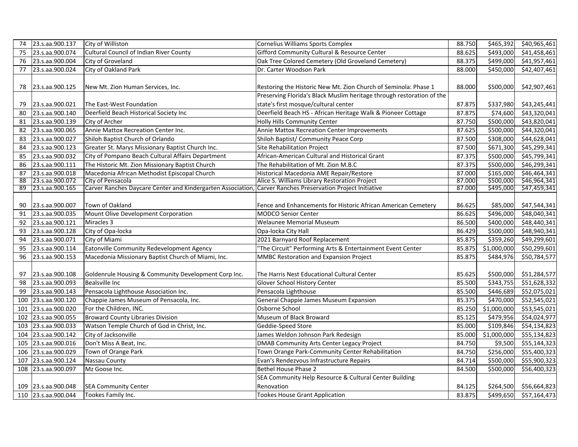| 74  | 23.s.aa.900.137     | City of Williston                                                                                          | Cornelius Williams Sports Complex                                     | 88.750 |             | \$465,392 \$40,965,461 |
|-----|---------------------|------------------------------------------------------------------------------------------------------------|-----------------------------------------------------------------------|--------|-------------|------------------------|
| 75  | 23.s.aa.900.074     | Cultural Council of Indian River County                                                                    | Gifford Community Cultural & Resource Center                          | 88.625 | \$493,000   | \$41,458,461           |
| 76  | 23.s.aa.900.004     | City of Groveland                                                                                          | Oak Tree Colored Cemetery (Old Groveland Cemetery)                    | 88.375 | \$499,000   | \$41,957,461           |
| 77  | 23.s.aa.900.024     | City of Oakland Park                                                                                       | Dr. Carter Woodson Park                                               | 88.000 | \$450,000   | \$42,407,461           |
|     |                     |                                                                                                            |                                                                       |        |             |                        |
| 78  | 23.s.aa.900.125     | New Mt. Zion Human Services, Inc.                                                                          | Restoring the Historic New Mt. Zion Church of Seminola: Phase 1       | 88.000 | \$500,000   | \$42,907,461           |
|     |                     |                                                                                                            | Preserving Florida's Black Muslim heritage through restoration of the |        |             |                        |
| 79  | 23.s.aa.900.021     | The East-West Foundation                                                                                   | state's first mosque/cultural center                                  | 87.875 | \$337,980   | \$43,245,441           |
| 80  | 23.s.aa.900.140     | Deerfield Beach Historical Society Inc                                                                     | Deerfield Beach HS - African Heritage Walk & Pioneer Cottage          | 87.875 | \$74,600    | \$43,320,041           |
| 81  | 23.s.aa.900.139     | City of Archer                                                                                             | Holly Hills Community Center                                          | 87.750 | \$500,000   | \$43,820,041           |
| 82  | 23.s.aa.900.065     | Annie Mattox Recreation Center Inc.                                                                        | Annie Mattox Recreation Center Improvements                           | 87.625 | \$500,000   | \$44,320,041           |
| 83  | 23.s.aa.900.027     | Shiloh Baptist Church of Orlando                                                                           | Shiloh Baptist/Community Peace Corp                                   | 87.500 | \$308,000   | \$44,628,041           |
| 84  | 23.s.aa.900.123     | Greater St. Marys Missionary Baptist Church Inc.                                                           | Site Rehabilitation Project                                           | 87.500 | \$671,300   | \$45,299,341           |
| 85  | 23.s.aa.900.032     | City of Pompano Beach Cultural Affairs Department                                                          | African-American Cultural and Historical Grant                        | 87.375 | \$500,000   | \$45,799,341           |
| 86  | 23.s.aa.900.111     | The Historic Mt. Zion Missionary Baptist Church                                                            | The Rehabilitation of Mt. Zion M.B.C                                  | 87.375 | \$500,000   | \$46,299,341           |
| 87  | 23.s.aa.900.018     | Macedonia African Methodist Episcopal Church                                                               | Historical Macedonia AME Repair/Restore                               | 87.000 | \$165,000   | \$46,464,341           |
| 88  | 23.s.aa.900.072     | City of Pensacola                                                                                          | Alice S. Williams Library Restoration Project                         | 87.000 | \$500,000   | \$46,964,341           |
| 89  | 23.s.aa.900.165     | Carver Ranches Daycare Center and Kindergarten Association, Carver Ranches Preservation Project Initiative |                                                                       | 87.000 | \$495,000   | \$47,459,341           |
|     |                     |                                                                                                            |                                                                       |        |             |                        |
| 90  | 23.s.aa.900.007     | Town of Oakland                                                                                            | Fence and Enhancements for Historic African American Cemetery         | 86.625 | \$85,000    | \$47,544,341           |
| 91  | 23.s.aa.900.035     | Mount Olive Development Corporation                                                                        | MODCO Senior Center                                                   | 86.625 | \$496,000   | \$48,040,341           |
| 92  | 23.s.aa.900.121     | Miracles 3                                                                                                 | Welaunee Memorial Museum                                              | 86.500 | \$400,000   | \$48,440,341           |
| 93  | 23.s.aa.900.128     | City of Opa-locka                                                                                          | Opa-locka City Hall                                                   | 86.429 | \$500,000   | \$48,940,341           |
| 94  | 23.s.aa.900.071     | City of Miami                                                                                              | 2021 Barnyard Roof Replacement                                        | 85.875 | \$359,260   | \$49,299,601           |
| 95  | 23.s.aa.900.114     | Eatonville Community Redevelopment Agency                                                                  | "The Circuit" Performing Arts & Entertainment Event Center            | 85.875 | \$1,000,000 | \$50,299,601           |
| 96  | 23.s.aa.900.153     | Macedonia Missionary Baptist Church of Miami, Inc.                                                         | MMBC Restoration and Expansion Project                                | 85.875 | \$484,976   | \$50,784,577           |
|     |                     |                                                                                                            |                                                                       |        |             |                        |
| 97  | 23.s.aa.900.108     | Goldenrule Housing & Community Development Corp Inc.                                                       | The Harris Nest Educational Cultural Center                           | 85.625 | \$500,000   | \$51,284,577           |
| 98  | 23.s.aa.900.093     | <b>Bealsville Inc</b>                                                                                      | Glover School History Center                                          | 85.500 | \$343,755   | \$51,628,332           |
| 99  | 23.s.aa.900.143     | Pensacola Lighthouse Association Inc.                                                                      | Pensacola Lighthouse                                                  | 85.500 | \$446,689   | \$52,075,021           |
| 100 | 23.s.aa.900.120     | Chappie James Museum of Pensacola, Inc.                                                                    | General Chappie James Museum Expansion                                | 85.375 | \$470,000   | \$52,545,021           |
| 101 | 23.s.aa.900.020     | For the Children, INC.                                                                                     | Osborne School                                                        | 85.250 | \$1,000,000 | \$53,545,021           |
| 102 | 23.s.aa.900.055     | Broward County Libraries Division                                                                          | Museum of Black Broward                                               | 85.125 | \$479,956   | \$54,024,977           |
| 103 | 23.s.aa.900.033     | Watson Temple Church of God in Christ, Inc.                                                                | Geddie-Speed Store                                                    | 85.000 | \$109,846   | \$54,134,823           |
| 104 | 23.s.aa.900.142     | City of Jacksonville                                                                                       | James Weldon Johnson Park Redesign                                    | 85.000 | \$1,000,000 | \$55,134,823           |
| 105 | 23.s.aa.900.016     | Don't Miss A Beat, Inc.                                                                                    | DMAB Community Arts Center Legacy Project                             | 84.750 | \$9,500     | \$55,144,323           |
| 106 | 23.s.aa.900.029     | Town of Orange Park                                                                                        | Town Orange Park-Community Center Rehabilitation                      | 84.750 | \$256,000   | \$55,400,323           |
| 107 | 23.s.aa.900.124     | Nassau County                                                                                              | Evan's Rendezvous Infrastructure Repairs                              | 84.714 | \$500,000   | \$55,900,323           |
| 108 | 23.s.aa.900.097     | Mz Goose Inc.                                                                                              | Bethel House Phase 2                                                  | 84.500 | \$500,000   | \$56,400,323           |
|     |                     |                                                                                                            | SEA Community Help Resource & Cultural Center Building                |        |             |                        |
|     | 109 23.s.aa.900.048 | <b>SEA Community Center</b>                                                                                | Renovation                                                            | 84.125 | \$264,500   | \$56,664,823           |
|     | 110 23.s.aa.900.044 | Tookes Family Inc.                                                                                         | <b>Tookes House Grant Application</b>                                 | 83.875 |             | \$499,650 \$57,164,473 |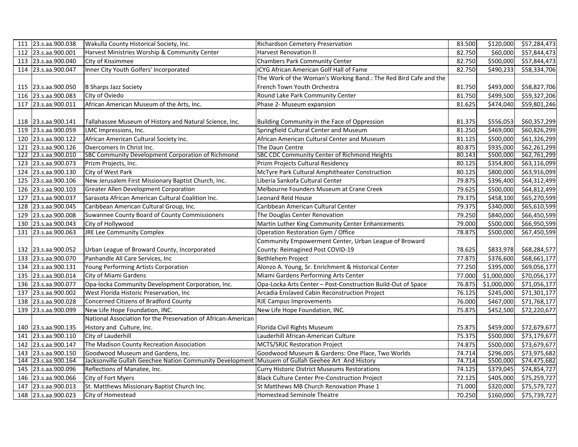|     | 111 23.s.aa.900.038 | Wakulla County Historical Society, Inc.                       | <b>Richardson Cemetery Preservation</b>                          | 83.500 |             | \$120,000 \$57,284,473 |
|-----|---------------------|---------------------------------------------------------------|------------------------------------------------------------------|--------|-------------|------------------------|
|     | 112 23.s.aa.900.001 | Harvest Ministries Worship & Community Center                 | <b>Harvest Renovation II</b>                                     | 82.750 | \$60,000    | \$57,844,473           |
| 113 | 23.s.aa.900.040     | City of Kissimmee                                             | <b>Chambers Park Community Center</b>                            | 82.750 | \$500,000   | \$57,844,473           |
|     | 114 23.s.aa.900.047 | Inner City Youth Golfers' Incorporated                        | ICYG African American Golf Hall of Fame                          | 82.750 | \$490,233   | \$58,334,706           |
|     |                     |                                                               | The Work of the Woman's Working Band.: The Red Bird Cafe and the |        |             |                        |
|     | 115 23.s.aa.900.050 | B Sharps Jazz Society                                         | French Town Youth Orchestra                                      | 81.750 | \$493,000   | \$58,827,706           |
|     | 116 23.s.aa.900.083 | City of Oviedo                                                | Round Lake Park Community Center                                 | 81.750 | \$499,500   | \$59,327,206           |
|     | 117 23.s.aa.900.011 | African American Museum of the Arts, Inc.                     | Phase 2- Museum expansion                                        | 81.625 | \$474,040   | \$59,801,246           |
|     |                     |                                                               |                                                                  |        |             |                        |
|     | 118 23.s.aa.900.141 | Tallahassee Museum of History and Natural Science, Inc.       | Building Community in the Face of Oppression                     | 81.375 | \$556,053   | \$60,357,299           |
|     | 119 23.s.aa.900.059 | LMC Impressions, Inc.                                         | Springfield Cultural Center and Museum                           | 81.250 | \$469,000   | \$60,826,299           |
|     | 120 23.s.aa.900.122 | African American Cultural Society Inc.                        | African American Cultural Center and Museum                      | 81.125 | \$500,000   | \$61,326,299           |
| 121 | 23.s.aa.900.126     | Overcomers In Christ Inc.                                     | The Daun Centre                                                  | 80.875 | \$935,000   | \$62,261,299           |
|     | 122 23.s.aa.900.010 | <b>SBC Community Development Corporation of Richmond</b>      | SBC CDC Community Center of Richmond Heights                     | 80.143 | \$500,000   | \$62,761,299           |
|     | 123 23.s.aa.900.073 | Prizm Projects, Inc.                                          | Prizm Projects Cultural Residency                                | 80.125 | \$354,800   | \$63,116,099           |
|     | 124 23.s.aa.900.130 | City of West Park                                             | McTyre Park Cultural Amphitheater Construction                   | 80.125 | \$800,000   | \$63,916,099           |
| 125 | 23.s.aa.900.106     | New Jerusalem First Missionary Baptist Church, Inc.           | Liberia Sankofa Cultural Center                                  | 79.875 | \$396,400   | \$64,312,499           |
|     | 126 23.s.aa.900.103 | Greater Allen Development Corporation                         | Melbourne Founders Museum at Crane Creek                         | 79.625 | \$500,000   | \$64,812,499           |
| 127 | 23.s.aa.900.037     | Sarasota African American Cultural Coalition Inc.             | Leonard Reid House                                               | 79.375 | \$458,100   | \$65,270,599           |
|     | 128 23.s.aa.900.045 | Caribbean American Cultural Group, Inc.                       | Caribbean American Cultural Center                               | 79.375 | \$340,000   | \$65,610,599           |
| 129 | 23.s.aa.900.008     | Suwannee County Board of County Commissioners                 | The Douglas Center Renovation                                    | 79.250 | \$840,000   | \$66,450,599           |
| 130 | 23.s.aa.900.043     | City of Hollywood                                             | Martin Luther King Community Center Enhancements                 | 79.000 | \$500,000   | \$66,950,599           |
| 131 | 23.s.aa.900.063     | <b>JRE Lee Community Complex</b>                              | Operation Restoration Gym / Office                               | 78.875 | \$500,000   | \$67,450,599           |
|     |                     |                                                               | Community Empowerment Center, Urban League of Broward            |        |             |                        |
|     | 132 23.s.aa.900.052 | Urban League of Broward County, Incorporated                  | County: Reimagined Post COVID-19                                 | 78.625 | \$833,978   | \$68,284,577           |
| 133 | 23.s.aa.900.070     | Panhandle All Care Services, Inc                              | Bethlehem Project                                                | 77.875 | \$376,600   | \$68,661,177           |
|     | 134 23.s.aa.900.131 | Young Performing Artists Corporation                          | Alonzo A. Young, Sr. Enrichment & Historical Center              | 77.250 | \$395,000   | \$69,056,177           |
|     | 135 23.s.aa.900.014 | City of Miami Gardens                                         | Miami Gardens Performing Arts Center                             | 77.000 | \$1,000,000 | \$70,056,177           |
|     | 136 23.s.aa.900.077 | Opa-locka Community Development Corporation, Inc.             | Opa-Locka Arts Center - Post-Construction Build-Out of Space     | 76.875 | \$1,000,000 | \$71,056,177           |
| 137 | 23.s.aa.900.002     | West Florida Historic Preservation, Inc                       | Arcadia Enslaved Cabin Reconstruction Project                    | 76.125 | \$245,000   | \$71,301,177           |
| 138 | 23.s.aa.900.028     | Concerned Citizens of Bradford County                         | <b>RJE Campus Improvements</b>                                   | 76.000 | \$467,000   | \$71,768,177           |
| 139 | 23.s.aa.900.099     | New Life Hope Foundation, INC.                                | New Life Hope Foundation, INC.                                   | 75.875 | \$452,500   | \$72,220,677           |
|     |                     | National Association for the Preservation of African-American |                                                                  |        |             |                        |
|     | 140 23.s.aa.900.135 | History and Culture, Inc.                                     | Florida Civil Rights Museum                                      | 75.875 | \$459,000   | \$72,679,677           |
|     | 141 23.s.aa.900.110 | City of Lauderhill                                            | Lauderhill African-American Culture                              | 75.375 | \$500,000   | \$73,179,677           |
| 142 | 23.s.aa.900.147     | The Madison County Recreation Association                     | MCTS/SRJC Restoration Project                                    | 74.875 | \$500,000   | \$73,679,677           |
|     | 143 23.s.aa.900.150 | Goodwood Museum and Gardens, Inc.                             | Goodwood Museum & Gardens: One Place, Two Worlds                 | 74.714 | \$296,005   | \$73,975,682           |
| 144 | 23.s.aa.900.164     | Jacksonville Gullah Geechee Nation Community Development      | Musuem of Gullah Geehee Art And History                          | 74.714 | \$500,000   | \$74,475,682           |
| 145 | 23.s.aa.900.096     | Reflections of Manatee, Inc.                                  | <b>Curry Historic District Museums Restorations</b>              | 74.125 | \$379,045   | \$74,854,727           |
| 146 | 23.s.aa.900.066     | City of Fort Myers                                            | Black Culture Center Pre-Construction Project                    | 72.125 | \$405,000   | \$75,259,727           |
| 147 | 23.s.aa.900.013     | St. Matthews Missionary Baptist Church Inc.                   | St Matthews MB Church Renovation Phase 1                         | 71.000 | \$320,000   | \$75,579,727           |
|     | 148 23.s.aa.900.023 | City of Homestead                                             | Homestead Seminole Theatre                                       | 70.250 | \$160,000   | \$75,739,727           |